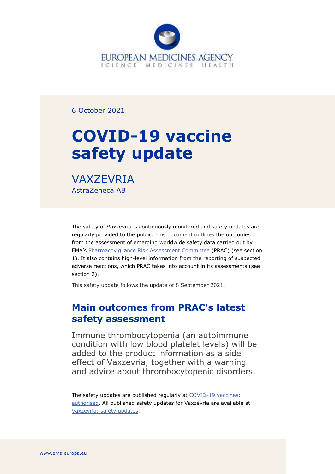

6 October 2021

# **COVID-19 vaccine safety update**

**VAXZEVRIA** AstraZeneca AB

The safety of Vaxzevria is continuously monitored and safety updates are regularly provided to the public. This document outlines the outcomes from the assessment of emerging worldwide safety data carried out by EMA's [Pharmacovigilance Risk Assessment Committee](https://www.ema.europa.eu/en/committees/pharmacovigilance-risk-assessment-committee-prac) (PRAC) (see section 1). It also contains high-level information from the reporting of suspected adverse reactions, which PRAC takes into account in its assessments (see section 2).

This safety update follows the update of 8 September 2021.

## **Main outcomes from PRAC's latest safety assessment**

Immune thrombocytopenia (an autoimmune condition with low blood platelet levels) will be added to the product information as a side effect of Vaxzevria, together with a warning and advice about thrombocytopenic disorders.

The safety updates are published regularly at COVID-19 vaccines: [authorised.](https://www.ema.europa.eu/en/human-regulatory/overview/public-health-threats/coronavirus-disease-covid-19/treatments-vaccines/vaccines-covid-19/safety-covid-19-vaccines) All published safety updates for Vaxzevria are available at [Vaxzevria: safety updates.](https://www.ema.europa.eu/en/medicines/human/EPAR/vaxzevria-previously-covid-19-vaccine-astrazeneca#safety-updates-section)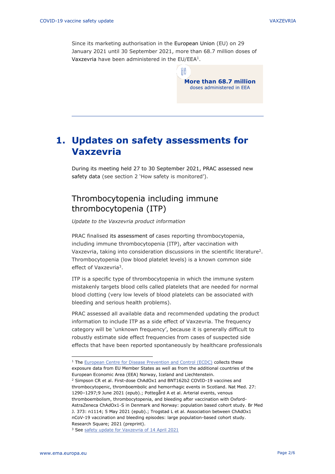Since its marketing authorisation in the European Union (EU) on 29 January 2021 until 30 September 2021, more than 68.7 million doses of Vaxzevria have been administered in the EU/EEA<sup>1</sup>.

> **More than 68.7 million** doses administered in EEA

# **1. Updates on safety assessments for Vaxzevria**

During its meeting held 27 to 30 September 2021, PRAC assessed new safety data (see section 2 'How safety is monitored').

### Thrombocytopenia including immune thrombocytopenia (ITP)

*Update to the Vaxzevria product information*

PRAC finalised its assessment of cases reporting thrombocytopenia, including immune thrombocytopenia (ITP), after vaccination with Vaxzevria, taking into consideration discussions in the scientific literature<sup>2</sup>. Thrombocytopenia (low blood platelet levels) is a known common side effect of Vaxzevria<sup>3</sup>.

ITP is a specific type of thrombocytopenia in which the immune system mistakenly targets blood cells called platelets that are needed for normal blood clotting (very low levels of blood platelets can be associated with bleeding and serious health problems).

PRAC assessed all available data and recommended updating the product information to include ITP as a side effect of Vaxzevria. The frequency category will be 'unknown frequency', because it is generally difficult to robustly estimate side effect frequencies from cases of suspected side effects that have been reported spontaneously by healthcare professionals

<sup>&</sup>lt;sup>1</sup> The [European Centre for Disease Prevention and Control \(ECDC\)](https://qap.ecdc.europa.eu/public/extensions/COVID-19/vaccine-tracker.html#uptake-tab) collects these exposure data from EU Member States as well as from the additional countries of the European Economic Area (EEA) Norway, Iceland and Liechtenstein. <sup>2</sup> Simpson CR et al. First-dose ChAdOx1 and BNT162b2 COVID-19 vaccines and thrombocytopenic, thromboembolic and hemorrhagic events in Scotland. Nat Med. 27: 1290–1297;9 June 2021 (epub).; Pottegård A et al. Arterial events, venous thromboembolism, thrombocytopenia, and bleeding after vaccination with Oxford-AstraZeneca ChAdOx1-S in Denmark and Norway: population based cohort study. Br Med J. 373: n1114; 5 May 2021 (epub).; Trogstad L et al. Association between ChAdOx1 nCoV-19 vaccination and bleeding episodes: large population-based cohort study. Research Square; 2021 (preprint).

<sup>&</sup>lt;sup>3</sup> See [safety update for Vaxzevria of 14 April](https://www.ema.europa.eu/en/documents/covid-19-vaccine-safety-update/covid-19-vaccine-safety-update-vaxzevria-previously-covid-19-vaccine-astrazeneca-14-april-2021_en.pdf) 2021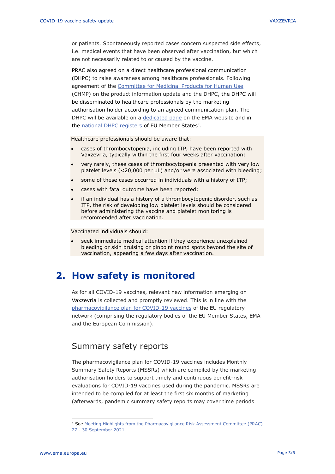or patients. Spontaneously reported cases concern suspected side effects, i.e. medical events that have been observed after vaccination, but which are not necessarily related to or caused by the vaccine.

PRAC also agreed on a direct healthcare professional communication (DHPC) to raise awareness among healthcare professionals. Following agreement of the [Committee for Medicinal Products for Human Use](https://www.ema.europa.eu/en/committees/committee-medicinal-products-human-use-chmp) (CHMP) on the product information update and the DHPC, the DHPC will be disseminated to healthcare professionals by the marketing authorisation holder according to an agreed communication plan. The DHPC will be available on a [dedicated page](https://www.ema.europa.eu/en/human-regulatory/post-authorisation/pharmacovigilance/direct-healthcare-professional-communications) on the EMA website and in the [national DHPC registers](https://www.ema.europa.eu/en/human-regulatory/post-authorisation/pharmacovigilance/direct-healthcare-professional-communications#national-registers-section) of EU Member States<sup>4</sup>.

Healthcare professionals should be aware that:

- cases of thrombocytopenia, including ITP, have been reported with Vaxzevria, typically within the first four weeks after vaccination;
- very rarely, these cases of thrombocytopenia presented with very low platelet levels (<20,000 per μL) and/or were associated with bleeding;
- some of these cases occurred in individuals with a history of ITP;
- cases with fatal outcome have been reported;
- if an individual has a history of a thrombocytopenic disorder, such as ITP, the risk of developing low platelet levels should be considered before administering the vaccine and platelet monitoring is recommended after vaccination.

Vaccinated individuals should:

seek immediate medical attention if they experience unexplained bleeding or skin bruising or pinpoint round spots beyond the site of vaccination, appearing a few days after vaccination.

## **2. How safety is monitored**

As for all COVID-19 vaccines, relevant new information emerging on Vaxzevria is collected and promptly reviewed. This is in line with the [pharmacovigilance plan for COVID-19 vaccines](https://www.ema.europa.eu/en/human-regulatory/overview/public-health-threats/coronavirus-disease-covid-19/treatments-vaccines/treatments-vaccines-covid-19-post-authorisation#covid-19-vaccines:-pharmacovigilance-plan-section) of the EU regulatory network (comprising the regulatory bodies of the EU Member States, EMA and the European Commission).

#### Summary safety reports

The pharmacovigilance plan for COVID-19 vaccines includes Monthly Summary Safety Reports (MSSRs) which are compiled by the marketing authorisation holders to support timely and continuous benefit-risk evaluations for COVID-19 vaccines used during the pandemic. MSSRs are intended to be compiled for at least the first six months of marketing (afterwards, pandemic summary safety reports may cover time periods

<sup>4</sup> See [Meeting Highlights from the Pharmacovigilance Risk Assessment Committee \(PRAC\)](https://www.ema.europa.eu/en/news/meeting-highlights-pharmacovigilance-risk-assessment-committee-prac-27-30-september-2021)  27 - 30 [September](https://www.ema.europa.eu/en/news/meeting-highlights-pharmacovigilance-risk-assessment-committee-prac-27-30-september-2021) 2021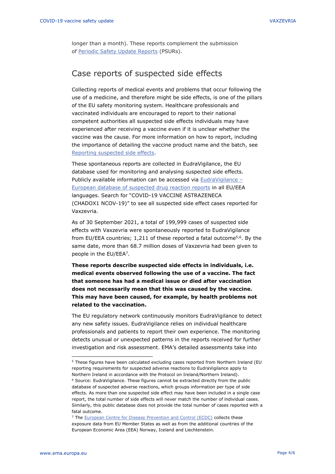longer than a month). These reports complement the submission of [Periodic Safety Update Reports](https://www.ema.europa.eu/en/human-regulatory/post-authorisation/pharmacovigilance/periodic-safety-update-reports-psurs) (PSURs).

#### Case reports of suspected side effects

Collecting reports of medical events and problems that occur following the use of a medicine, and therefore might be side effects, is one of the pillars of the EU safety monitoring system. Healthcare professionals and vaccinated individuals are encouraged to report to their national competent authorities all suspected side effects individuals may have experienced after receiving a vaccine even if it is unclear whether the vaccine was the cause. For more information on how to report, including the importance of detailing the vaccine product name and the batch, see [Reporting suspected side effects.](https://www.ema.europa.eu/en/human-regulatory/overview/public-health-threats/coronavirus-disease-covid-19/public-health-advice-during-covid-19-pandemic#reporting-suspected-side-effects-section)

These spontaneous reports are collected in EudraVigilance, the EU database used for monitoring and analysing suspected side effects. Publicly available information can be accessed via [EudraVigilance](https://www.adrreports.eu/en/index.html) – [European database of suspected drug reaction reports](https://www.adrreports.eu/en/index.html) in all EU/EEA languages. Search for "COVID-19 VACCINE ASTRAZENECA (CHADOX1 NCOV-19)" to see all suspected side effect cases reported for Vaxzevria.

As of 30 September 2021, a total of 199,999 cases of suspected side effects with Vaxzevria were spontaneously reported to EudraVigilance from EU/EEA countries; 1,211 of these reported a fatal outcome<sup>5,6</sup>. By the same date, more than 68.7 million doses of Vaxzevria had been given to people in the EU/EEA<sup>7</sup>.

**These reports describe suspected side effects in individuals, i.e. medical events observed following the use of a vaccine. The fact that someone has had a medical issue or died after vaccination does not necessarily mean that this was caused by the vaccine. This may have been caused, for example, by health problems not related to the vaccination.** 

The EU regulatory network continuously monitors EudraVigilance to detect any new safety issues. EudraVigilance relies on individual healthcare professionals and patients to report their own experience. The monitoring detects unusual or unexpected patterns in the reports received for further investigation and risk assessment. EMA's detailed assessments take into

<sup>&</sup>lt;sup>5</sup> These figures have been calculated excluding cases reported from Northern Ireland (EU reporting requirements for suspected adverse reactions to EudraVigilance apply to Northern Ireland in accordance with the Protocol on Ireland/Northern Ireland).

<sup>6</sup> Source: EudraVigilance. These figures cannot be extracted directly from the public database of suspected adverse reactions, which groups information per type of side effects. As more than one suspected side effect may have been included in a single case report, the total number of side effects will never match the number of individual cases. Similarly, this public database does not provide the total number of cases reported with a fatal outcome.

<sup>&</sup>lt;sup>7</sup> The [European Centre for Disease Prevention and Control \(ECDC\)](https://qap.ecdc.europa.eu/public/extensions/COVID-19/vaccine-tracker.html#uptake-tab) collects these exposure data from EU Member States as well as from the additional countries of the European Economic Area (EEA) Norway, Iceland and Liechtenstein.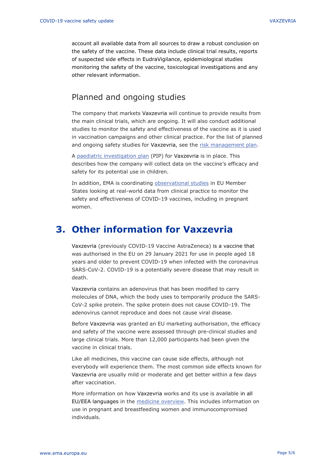account all available data from all sources to draw a robust conclusion on the safety of the vaccine. These data include clinical trial results, reports of suspected side effects in EudraVigilance, epidemiological studies monitoring the safety of the vaccine, toxicological investigations and any other relevant information.

#### Planned and ongoing studies

The company that markets Vaxzevria will continue to provide results from the main clinical trials, which are ongoing. It will also conduct additional studies to monitor the safety and effectiveness of the vaccine as it is used in vaccination campaigns and other clinical practice. For the list of planned and ongoing safety studies for Vaxzevria, see the [risk management plan.](https://www.ema.europa.eu/en/documents/rmp-summary/covid-19-vaccine-astrazeneca-epar-risk-management-plan_en.pdf)

A [paediatric investigation](https://www.ema.europa.eu/en/medicines/human/paediatric-investigation-plans/emea-002862-pip01-20) plan (PIP) for Vaxzevria is in place. This describes how the company will collect data on the vaccine's efficacy and safety for its potential use in children.

In addition, EMA is coordinating [observational studies](https://www.ema.europa.eu/en/human-regulatory/overview/public-health-threats/coronavirus-disease-covid-19/treatments-vaccines/treatments-vaccines-covid-19-post-authorisation#observational-research-section) in EU Member States looking at real-world data from clinical practice to monitor the safety and effectiveness of COVID-19 vaccines, including in pregnant women.

## **3. Other information for Vaxzevria**

Vaxzevria (previously COVID-19 Vaccine AstraZeneca) is a vaccine that was authorised in the EU on 29 January 2021 for use in people aged 18 years and older to prevent COVID-19 when infected with the coronavirus SARS-CoV-2. COVID-19 is a potentially severe disease that may result in death.

Vaxzevria contains an adenovirus that has been modified to carry molecules of DNA, which the body uses to temporarily produce the SARS-CoV-2 spike protein. The spike protein does not cause COVID-19. The adenovirus cannot reproduce and does not cause viral disease.

Before Vaxzevria was granted an EU marketing authorisation, the efficacy and safety of the vaccine were assessed through pre-clinical studies and large clinical trials. More than 12,000 participants had been given the vaccine in clinical trials.

Like all medicines, this vaccine can cause side effects, although not everybody will experience them. The most common side effects known for Vaxzevria are usually mild or moderate and get better within a few days after vaccination.

More information on how Vaxzevria works and its use is available in all EU/EEA languages in the [medicine overview.](https://www.ema.europa.eu/en/medicines/human/EPAR/covid-19-vaccine-astrazeneca#overview-section) This includes information on use in pregnant and breastfeeding women and immunocompromised individuals.